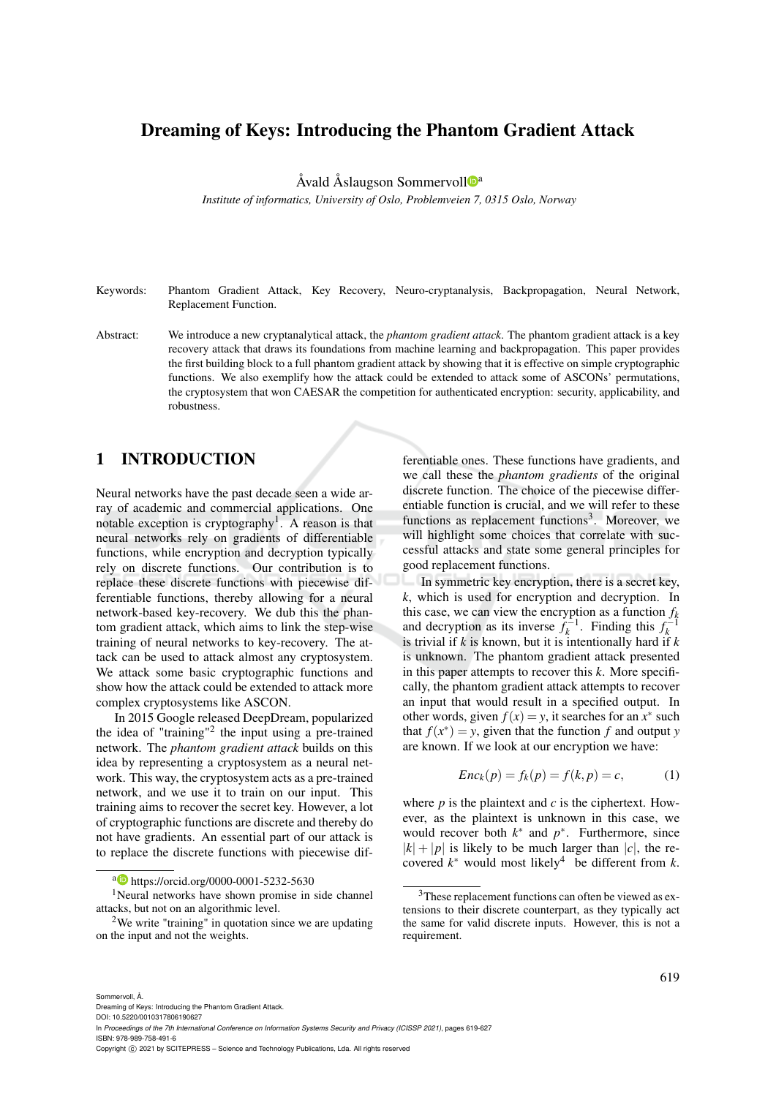## Dreaming of Keys: Introducing the Phantom Gradient Attack

Åvald Åslaugson Sommervoll<sup>oa</sup>

*Institute of informatics, University of Oslo, Problemveien 7, 0315 Oslo, Norway*

- Keywords: Phantom Gradient Attack, Key Recovery, Neuro-cryptanalysis, Backpropagation, Neural Network, Replacement Function.
- Abstract: We introduce a new cryptanalytical attack, the *phantom gradient attack*. The phantom gradient attack is a key recovery attack that draws its foundations from machine learning and backpropagation. This paper provides the first building block to a full phantom gradient attack by showing that it is effective on simple cryptographic functions. We also exemplify how the attack could be extended to attack some of ASCONs' permutations, the cryptosystem that won CAESAR the competition for authenticated encryption: security, applicability, and robustness.

# 1 INTRODUCTION

Neural networks have the past decade seen a wide array of academic and commercial applications. One notable exception is cryptography<sup>1</sup>. A reason is that neural networks rely on gradients of differentiable functions, while encryption and decryption typically rely on discrete functions. Our contribution is to replace these discrete functions with piecewise differentiable functions, thereby allowing for a neural network-based key-recovery. We dub this the phantom gradient attack, which aims to link the step-wise training of neural networks to key-recovery. The attack can be used to attack almost any cryptosystem. We attack some basic cryptographic functions and show how the attack could be extended to attack more complex cryptosystems like ASCON.

In 2015 Google released DeepDream, popularized the idea of "training"<sup>2</sup> the input using a pre-trained network. The *phantom gradient attack* builds on this idea by representing a cryptosystem as a neural network. This way, the cryptosystem acts as a pre-trained network, and we use it to train on our input. This training aims to recover the secret key. However, a lot of cryptographic functions are discrete and thereby do not have gradients. An essential part of our attack is to replace the discrete functions with piecewise dif-

a https://orcid.org/0000-0001-5232-5630

ferentiable ones. These functions have gradients, and we call these the *phantom gradients* of the original discrete function. The choice of the piecewise differentiable function is crucial, and we will refer to these functions as replacement functions<sup>3</sup>. Moreover, we will highlight some choices that correlate with successful attacks and state some general principles for good replacement functions.

In symmetric key encryption, there is a secret key, *k*, which is used for encryption and decryption. In this case, we can view the encryption as a function  $f_k$ and decryption as its inverse  $f_k^{-1}$ . Finding this  $f_k^{-1}$ is trivial if *k* is known, but it is intentionally hard if *k* is unknown. The phantom gradient attack presented in this paper attempts to recover this *k*. More specifically, the phantom gradient attack attempts to recover an input that would result in a specified output. In other words, given  $f(x) = y$ , it searches for an  $x^*$  such that  $f(x^*) = y$ , given that the function  $f$  and output  $y$ are known. If we look at our encryption we have:

$$
Enc_k(p) = f_k(p) = f(k, p) = c,
$$
 (1)

where  $p$  is the plaintext and  $c$  is the ciphertext. However, as the plaintext is unknown in this case, we would recover both  $k^*$  and  $p^*$ . Furthermore, since  $|k| + |p|$  is likely to be much larger than  $|c|$ , the recovered  $k^*$  would most likely<sup>4</sup> be different from  $k$ .

<sup>&</sup>lt;sup>1</sup>Neural networks have shown promise in side channel attacks, but not on an algorithmic level.

<sup>2</sup>We write "training" in quotation since we are updating on the input and not the weights.

<sup>&</sup>lt;sup>3</sup>These replacement functions can often be viewed as extensions to their discrete counterpart, as they typically act the same for valid discrete inputs. However, this is not a requirement.

Dreaming of Keys: Introducing the Phantom Gradient Attack. DOI: 10.5220/0010317806190627

In *Proceedings of the 7th International Conference on Information Systems Security and Privacy (ICISSP 2021)*, pages 619-627 ISBN: 978-989-758-491-6

Copyright © 2021 by SCITEPRESS - Science and Technology Publications, Lda. All rights reserved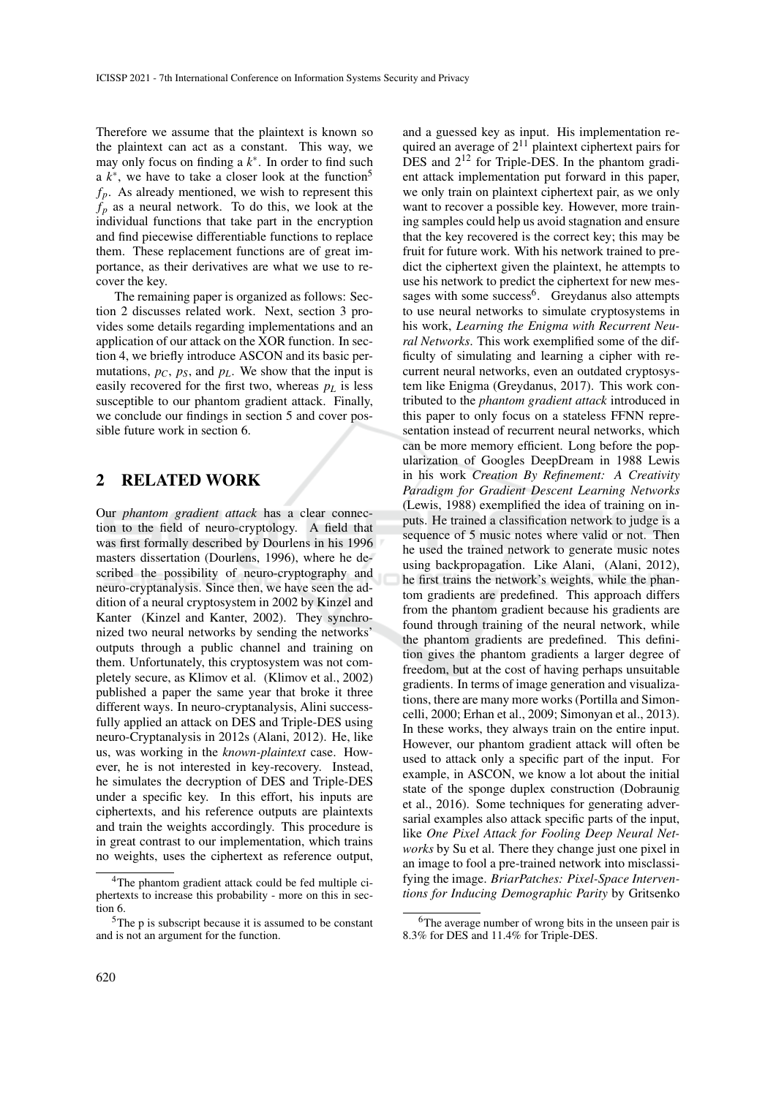Therefore we assume that the plaintext is known so the plaintext can act as a constant. This way, we may only focus on finding a *k* ∗ . In order to find such a  $k^*$ , we have to take a closer look at the function<sup>5</sup>  $f_p$ . As already mentioned, we wish to represent this  $f_p$  as a neural network. To do this, we look at the individual functions that take part in the encryption and find piecewise differentiable functions to replace them. These replacement functions are of great importance, as their derivatives are what we use to recover the key.

The remaining paper is organized as follows: Section 2 discusses related work. Next, section 3 provides some details regarding implementations and an application of our attack on the XOR function. In section 4, we briefly introduce ASCON and its basic permutations,  $p_C$ ,  $p_S$ , and  $p_L$ . We show that the input is easily recovered for the first two, whereas *p<sup>L</sup>* is less susceptible to our phantom gradient attack. Finally, we conclude our findings in section 5 and cover possible future work in section 6.

## 2 RELATED WORK

Our *phantom gradient attack* has a clear connection to the field of neuro-cryptology. A field that was first formally described by Dourlens in his 1996 masters dissertation (Dourlens, 1996), where he described the possibility of neuro-cryptography and neuro-cryptanalysis. Since then, we have seen the addition of a neural cryptosystem in 2002 by Kinzel and Kanter (Kinzel and Kanter, 2002). They synchronized two neural networks by sending the networks' outputs through a public channel and training on them. Unfortunately, this cryptosystem was not completely secure, as Klimov et al. (Klimov et al., 2002) published a paper the same year that broke it three different ways. In neuro-cryptanalysis, Alini successfully applied an attack on DES and Triple-DES using neuro-Cryptanalysis in 2012s (Alani, 2012). He, like us, was working in the *known-plaintext* case. However, he is not interested in key-recovery. Instead, he simulates the decryption of DES and Triple-DES under a specific key. In this effort, his inputs are ciphertexts, and his reference outputs are plaintexts and train the weights accordingly. This procedure is in great contrast to our implementation, which trains no weights, uses the ciphertext as reference output,

and a guessed key as input. His implementation required an average of  $2^{11}$  plaintext ciphertext pairs for DES and  $2^{12}$  for Triple-DES. In the phantom gradient attack implementation put forward in this paper, we only train on plaintext ciphertext pair, as we only want to recover a possible key. However, more training samples could help us avoid stagnation and ensure that the key recovered is the correct key; this may be fruit for future work. With his network trained to predict the ciphertext given the plaintext, he attempts to use his network to predict the ciphertext for new messages with some success<sup>6</sup>. Greydanus also attempts to use neural networks to simulate cryptosystems in his work, *Learning the Enigma with Recurrent Neural Networks*. This work exemplified some of the difficulty of simulating and learning a cipher with recurrent neural networks, even an outdated cryptosystem like Enigma (Greydanus, 2017). This work contributed to the *phantom gradient attack* introduced in this paper to only focus on a stateless FFNN representation instead of recurrent neural networks, which can be more memory efficient. Long before the popularization of Googles DeepDream in 1988 Lewis in his work *Creation By Refinement: A Creativity Paradigm for Gradient Descent Learning Networks* (Lewis, 1988) exemplified the idea of training on inputs. He trained a classification network to judge is a sequence of 5 music notes where valid or not. Then he used the trained network to generate music notes using backpropagation. Like Alani, (Alani, 2012), he first trains the network's weights, while the phantom gradients are predefined. This approach differs from the phantom gradient because his gradients are found through training of the neural network, while the phantom gradients are predefined. This definition gives the phantom gradients a larger degree of freedom, but at the cost of having perhaps unsuitable gradients. In terms of image generation and visualizations, there are many more works (Portilla and Simoncelli, 2000; Erhan et al., 2009; Simonyan et al., 2013). In these works, they always train on the entire input. However, our phantom gradient attack will often be used to attack only a specific part of the input. For example, in ASCON, we know a lot about the initial state of the sponge duplex construction (Dobraunig et al., 2016). Some techniques for generating adversarial examples also attack specific parts of the input, like *One Pixel Attack for Fooling Deep Neural Networks* by Su et al. There they change just one pixel in an image to fool a pre-trained network into misclassifying the image. *BriarPatches: Pixel-Space Interventions for Inducing Demographic Parity* by Gritsenko

<sup>&</sup>lt;sup>4</sup>The phantom gradient attack could be fed multiple ciphertexts to increase this probability - more on this in section 6.

<sup>5</sup>The p is subscript because it is assumed to be constant and is not an argument for the function.

<sup>6</sup>The average number of wrong bits in the unseen pair is 8.3% for DES and 11.4% for Triple-DES.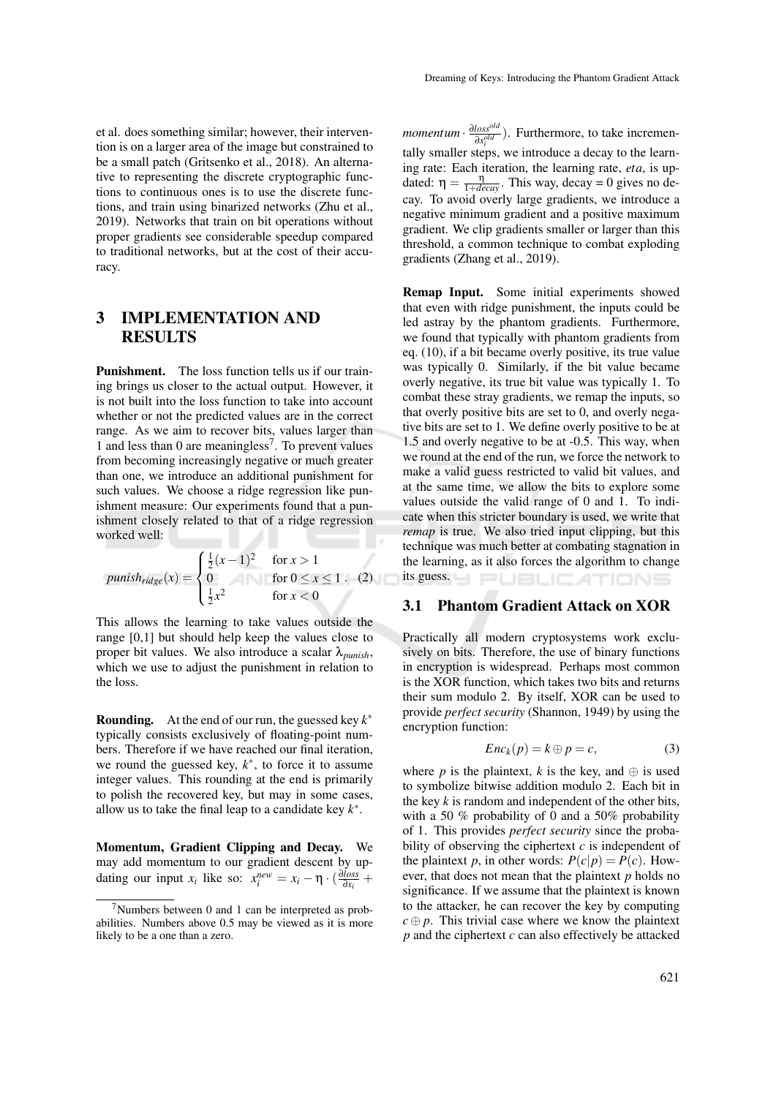et al. does something similar; however, their intervention is on a larger area of the image but constrained to be a small patch (Gritsenko et al., 2018). An alternative to representing the discrete cryptographic functions to continuous ones is to use the discrete functions, and train using binarized networks (Zhu et al., 2019). Networks that train on bit operations without proper gradients see considerable speedup compared to traditional networks, but at the cost of their accuracy.

## 3 IMPLEMENTATION AND **RESULTS**

Punishment. The loss function tells us if our training brings us closer to the actual output. However, it is not built into the loss function to take into account whether or not the predicted values are in the correct range. As we aim to recover bits, values larger than 1 and less than 0 are meaningless<sup>7</sup>. To prevent values from becoming increasingly negative or much greater than one, we introduce an additional punishment for such values. We choose a ridge regression like punishment measure: Our experiments found that a punishment closely related to that of a ridge regression worked well:

 $p$ *unish<sub>ridge</sub>* $(x)$  =  $\sqrt{ }$  $\int$  $\mathcal{L}$  $\frac{1}{2}(x-1)^2$  for *x* > 1 0 for  $0 \le x \le 1$  $\frac{1}{2}x^2$  for *x* < 0 . (2)

This allows the learning to take values outside the range [0,1] but should help keep the values close to proper bit values. We also introduce a scalar λ*punish*, which we use to adjust the punishment in relation to the loss.

**Rounding.** At the end of our run, the guessed key  $k^*$ typically consists exclusively of floating-point numbers. Therefore if we have reached our final iteration, we round the guessed key,  $k^*$ , to force it to assume integer values. This rounding at the end is primarily to polish the recovered key, but may in some cases, allow us to take the final leap to a candidate key  $k^*$ .

Momentum, Gradient Clipping and Decay. We may add momentum to our gradient descent by updating our input  $x_i$  like so:  $x_i^{new} = x_i - \eta \cdot \left(\frac{\partial loss}{\partial x_i} + \eta\right)$ 

*momentum* · ∂*lossold*  $\frac{loss^{out}}{\partial x_i^{old}}$ ). Furthermore, to take incrementally smaller steps, we introduce a decay to the learning rate: Each iteration, the learning rate, *eta*, is updated:  $\eta = \frac{\eta}{1 + decay}$ . This way, decay = 0 gives no decay. To avoid overly large gradients, we introduce a negative minimum gradient and a positive maximum gradient. We clip gradients smaller or larger than this threshold, a common technique to combat exploding gradients (Zhang et al., 2019).

Remap Input. Some initial experiments showed that even with ridge punishment, the inputs could be led astray by the phantom gradients. Furthermore, we found that typically with phantom gradients from eq. (10), if a bit became overly positive, its true value was typically 0. Similarly, if the bit value became overly negative, its true bit value was typically 1. To combat these stray gradients, we remap the inputs, so that overly positive bits are set to 0, and overly negative bits are set to 1. We define overly positive to be at 1.5 and overly negative to be at -0.5. This way, when we round at the end of the run, we force the network to make a valid guess restricted to valid bit values, and at the same time, we allow the bits to explore some values outside the valid range of 0 and 1. To indicate when this stricter boundary is used, we write that *remap* is true. We also tried input clipping, but this technique was much better at combating stagnation in the learning, as it also forces the algorithm to change its guess.  $\Box$  PUBLICATIONS

#### 3.1 Phantom Gradient Attack on XOR

Practically all modern cryptosystems work exclusively on bits. Therefore, the use of binary functions in encryption is widespread. Perhaps most common is the XOR function, which takes two bits and returns their sum modulo 2. By itself, XOR can be used to provide *perfect security* (Shannon, 1949) by using the encryption function:

$$
Enc_k(p) = k \oplus p = c,\tag{3}
$$

where *p* is the plaintext, *k* is the key, and  $\oplus$  is used to symbolize bitwise addition modulo 2. Each bit in the key *k* is random and independent of the other bits, with a 50 % probability of 0 and a 50% probability of 1. This provides *perfect security* since the probability of observing the ciphertext *c* is independent of the plaintext *p*, in other words:  $P(c|p) = P(c)$ . However, that does not mean that the plaintext *p* holds no significance. If we assume that the plaintext is known to the attacker, he can recover the key by computing  $c \oplus p$ . This trivial case where we know the plaintext *p* and the ciphertext *c* can also effectively be attacked

 $7$ Numbers between 0 and 1 can be interpreted as probabilities. Numbers above 0.5 may be viewed as it is more likely to be a one than a zero.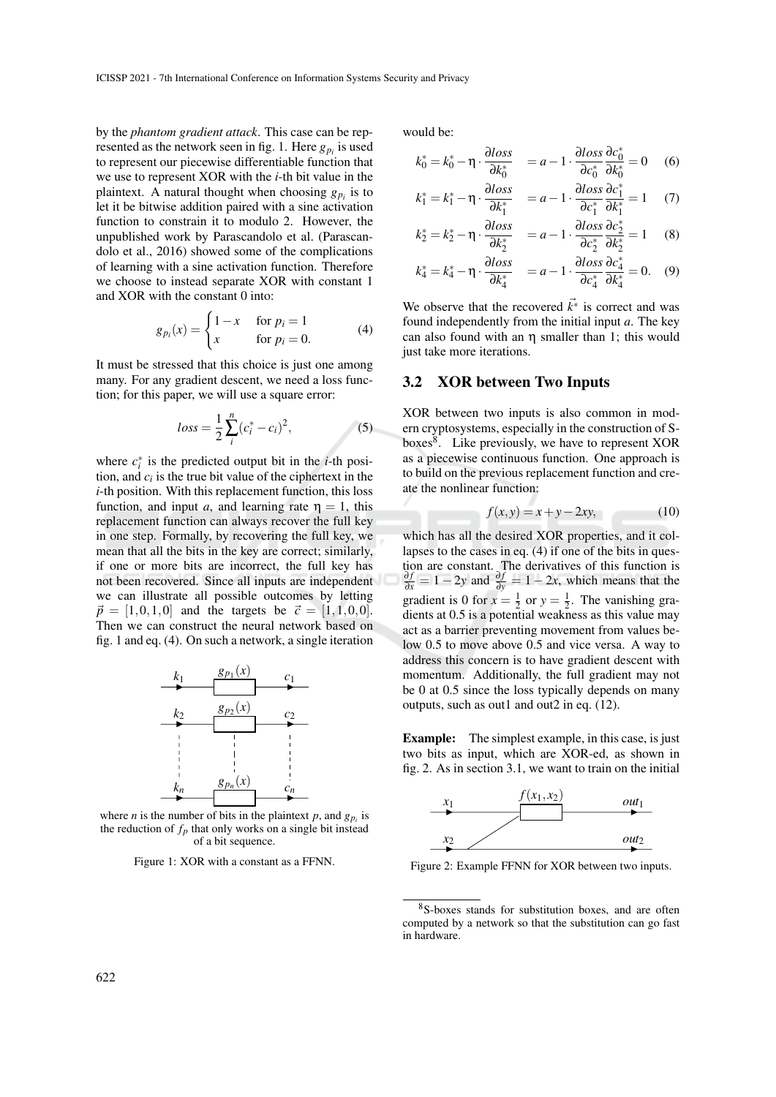by the *phantom gradient attack*. This case can be represented as the network seen in fig. 1. Here  $g_{pi}$  is used to represent our piecewise differentiable function that we use to represent XOR with the *i*-th bit value in the plaintext. A natural thought when choosing  $g_{p_i}$  is to let it be bitwise addition paired with a sine activation function to constrain it to modulo 2. However, the unpublished work by Parascandolo et al. (Parascandolo et al., 2016) showed some of the complications of learning with a sine activation function. Therefore we choose to instead separate XOR with constant 1 and XOR with the constant 0 into:

$$
g_{p_i}(x) = \begin{cases} 1 - x & \text{for } p_i = 1\\ x & \text{for } p_i = 0. \end{cases}
$$
 (4)

It must be stressed that this choice is just one among many. For any gradient descent, we need a loss function; for this paper, we will use a square error:

$$
loss = \frac{1}{2} \sum_{i}^{n} (c_i^* - c_i)^2,
$$
 (5)

where  $c_i^*$  is the predicted output bit in the *i*-th position, and  $c_i$  is the true bit value of the ciphertext in the *i*-th position. With this replacement function, this loss function, and input *a*, and learning rate  $\eta = 1$ , this replacement function can always recover the full key in one step. Formally, by recovering the full key, we mean that all the bits in the key are correct; similarly, if one or more bits are incorrect, the full key has not been recovered. Since all inputs are independent we can illustrate all possible outcomes by letting  $\vec{p} = [1, 0, 1, 0]$  and the targets be  $\vec{c} = [1, 1, 0, 0].$ Then we can construct the neural network based on fig. 1 and eq. (4). On such a network, a single iteration



where *n* is the number of bits in the plaintext *p*, and  $g_{p_i}$  is the reduction of  $f_p$  that only works on a single bit instead of a bit sequence.

Figure 1: XOR with a constant as a FFNN.

would be:

$$
k_0^* = k_0^* - \eta \cdot \frac{\partial loss}{\partial k_0^*} = a - 1 \cdot \frac{\partial loss}{\partial c_0^*} \frac{\partial c_0^*}{\partial k_0^*} = 0 \quad (6)
$$

$$
k_1^* = k_1^* - \eta \cdot \frac{\partial loss}{\partial k_1^*} = a - 1 \cdot \frac{\partial loss}{\partial c_1^*} \frac{\partial c_1^*}{\partial k_1^*} = 1 \quad (7)
$$

$$
k_2^* = k_2^* - \eta \cdot \frac{\partial loss}{\partial k_2^*} = a - 1 \cdot \frac{\partial loss}{\partial c_2^*} \frac{\partial c_2^*}{\partial k_2^*} = 1 \quad (8)
$$

$$
k_4^* = k_4^* - \eta \cdot \frac{\partial loss}{\partial k_4^*} = a - 1 \cdot \frac{\partial loss}{\partial c_4^*} \frac{\partial c_4^*}{\partial k_4^*} = 0. \quad (9)
$$

We observe that the recovered  $\vec{k^*}$  is correct and was found independently from the initial input *a*. The key can also found with an η smaller than 1; this would just take more iterations.

#### 3.2 XOR between Two Inputs

XOR between two inputs is also common in modern cryptosystems, especially in the construction of Sboxes<sup>8</sup>. Like previously, we have to represent XOR as a piecewise continuous function. One approach is to build on the previous replacement function and create the nonlinear function:

$$
f(x, y) = x + y - 2xy,
$$
\n<sup>(10)</sup>

which has all the desired XOR properties, and it collapses to the cases in eq. (4) if one of the bits in question are constant. The derivatives of this function is  $\frac{\partial f}{\partial x} = 1 - 2y$  and  $\frac{\partial f}{\partial y} = 1 - 2x$ , which means that the gradient is 0 for  $x = \frac{1}{2}$  or  $y = \frac{1}{2}$ . The vanishing gradients at 0.5 is a potential weakness as this value may act as a barrier preventing movement from values below 0.5 to move above 0.5 and vice versa. A way to address this concern is to have gradient descent with momentum. Additionally, the full gradient may not be 0 at 0.5 since the loss typically depends on many outputs, such as out1 and out2 in eq. (12).

Example: The simplest example, in this case, is just two bits as input, which are XOR-ed, as shown in fig. 2. As in section 3.1, we want to train on the initial



Figure 2: Example FFNN for XOR between two inputs.

<sup>8</sup>S-boxes stands for substitution boxes, and are often computed by a network so that the substitution can go fast in hardware.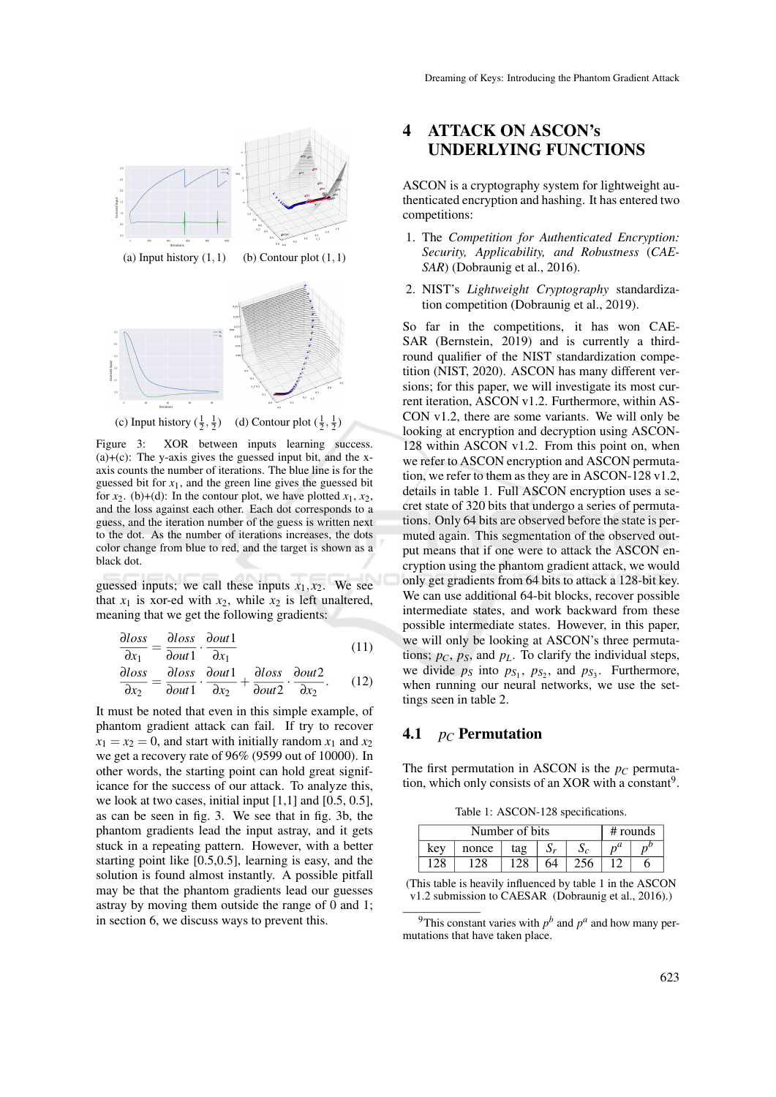

(c) Input history  $(\frac{1}{2}, \frac{1}{2})$ (d) Contour plot  $(\frac{1}{2}, \frac{1}{2})$ 

Figure 3: XOR between inputs learning success.  $(a)+(c)$ : The y-axis gives the guessed input bit, and the xaxis counts the number of iterations. The blue line is for the guessed bit for  $x_1$ , and the green line gives the guessed bit for  $x_2$ . (b)+(d): In the contour plot, we have plotted  $x_1, x_2$ , and the loss against each other. Each dot corresponds to a guess, and the iteration number of the guess is written next to the dot. As the number of iterations increases, the dots color change from blue to red, and the target is shown as a black dot.

guessed inputs; we call these inputs  $x_1, x_2$ . We see that  $x_1$  is xor-ed with  $x_2$ , while  $x_2$  is left unaltered, meaning that we get the following gradients:

$$
\frac{\partial loss}{\partial \theta} = \frac{\partial loss}{\partial \theta} \cdot \frac{\partial out1}{\partial \theta} \tag{11}
$$

$$
\frac{\partial x_1}{\partial x_2} = \frac{\partial out1}{\partial out1} \cdot \frac{\partial x_1}{\partial x_2} + \frac{\partial loss}{\partial out2} \cdot \frac{\partial out2}{\partial x_2}.
$$
 (12)

It must be noted that even in this simple example, of phantom gradient attack can fail. If try to recover  $x_1 = x_2 = 0$ , and start with initially random  $x_1$  and  $x_2$ we get a recovery rate of 96% (9599 out of 10000). In other words, the starting point can hold great significance for the success of our attack. To analyze this, we look at two cases, initial input  $[1,1]$  and  $[0.5, 0.5]$ , as can be seen in fig. 3. We see that in fig. 3b, the phantom gradients lead the input astray, and it gets stuck in a repeating pattern. However, with a better starting point like [0.5,0.5], learning is easy, and the solution is found almost instantly. A possible pitfall may be that the phantom gradients lead our guesses astray by moving them outside the range of 0 and 1; in section 6, we discuss ways to prevent this.

# 4 ATTACK ON ASCON's UNDERLYING FUNCTIONS

ASCON is a cryptography system for lightweight authenticated encryption and hashing. It has entered two competitions:

- 1. The *Competition for Authenticated Encryption: Security, Applicability, and Robustness* (*CAE-SAR*) (Dobraunig et al., 2016).
- 2. NIST's *Lightweight Cryptography* standardization competition (Dobraunig et al., 2019).

So far in the competitions, it has won CAE-SAR (Bernstein, 2019) and is currently a thirdround qualifier of the NIST standardization competition (NIST, 2020). ASCON has many different versions; for this paper, we will investigate its most current iteration, ASCON v1.2. Furthermore, within AS-CON v1.2, there are some variants. We will only be looking at encryption and decryption using ASCON-128 within ASCON v1.2. From this point on, when we refer to ASCON encryption and ASCON permutation, we refer to them as they are in ASCON-128 v1.2, details in table 1. Full ASCON encryption uses a secret state of 320 bits that undergo a series of permutations. Only 64 bits are observed before the state is permuted again. This segmentation of the observed output means that if one were to attack the ASCON encryption using the phantom gradient attack, we would only get gradients from 64 bits to attack a 128-bit key. We can use additional 64-bit blocks, recover possible intermediate states, and work backward from these possible intermediate states. However, in this paper, we will only be looking at ASCON's three permutations;  $p_C$ ,  $p_S$ , and  $p_L$ . To clarify the individual steps, we divide  $p_S$  into  $p_{S_1}$ ,  $p_{S_2}$ , and  $p_{S_3}$ . Furthermore, when running our neural networks, we use the settings seen in table 2.

#### 4.1 *p<sup>C</sup>* Permutation

The first permutation in ASCON is the  $p_C$  permutation, which only consists of an XOR with a constant<sup>9</sup>.

Table 1: ASCON-128 specifications.

| Number of bits |       |     |    |  |   | # rounds |  |
|----------------|-------|-----|----|--|---|----------|--|
| kev            | nonce | tag |    |  | n |          |  |
|                |       |     | 64 |  |   |          |  |

(This table is heavily influenced by table 1 in the ASCON v1.2 submission to CAESAR (Dobraunig et al., 2016).)

<sup>9</sup>This constant varies with  $p^b$  and  $p^a$  and how many permutations that have taken place.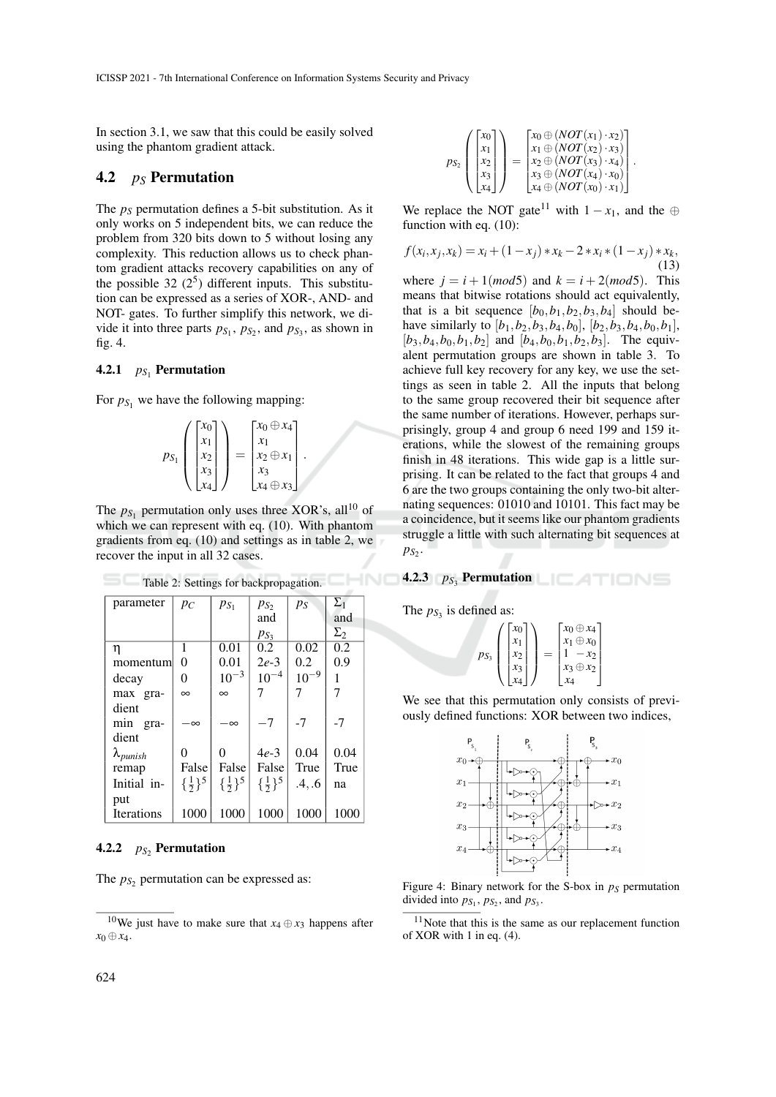In section 3.1, we saw that this could be easily solved using the phantom gradient attack.

### 4.2 *p<sup>S</sup>* Permutation

The *p<sub>S</sub>* permutation defines a 5-bit substitution. As it only works on 5 independent bits, we can reduce the problem from 320 bits down to 5 without losing any complexity. This reduction allows us to check phantom gradient attacks recovery capabilities on any of the possible 32  $(2^5)$  different inputs. This substitution can be expressed as a series of XOR-, AND- and NOT- gates. To further simplify this network, we divide it into three parts  $p_{S_1}$ ,  $p_{S_2}$ , and  $p_{S_3}$ , as shown in fig. 4.

#### 4.2.1 *p*<sub>*S*<sup>1</sup></sub> **Permutation**

For  $p_{S_1}$  we have the following mapping:

$$
p_{S_1}\left(\begin{bmatrix}x_0\\x_1\\x_2\\x_3\\x_4\end{bmatrix}\right)=\begin{bmatrix}x_0\oplus x_4\\x_1\\x_2\oplus x_1\\x_3\\x_4\oplus x_3\end{bmatrix}.
$$

The  $p_{S_1}$  permutation only uses three XOR's, all<sup>10</sup> of which we can represent with eq. (10). With phantom gradients from eq. (10) and settings as in table 2, we recover the input in all 32 cases.

| Table 2: Settings for backpropagation. |                     |                     |                     |           |            |  |  |
|----------------------------------------|---------------------|---------------------|---------------------|-----------|------------|--|--|
| parameter                              | $p_{C}$             | $p_{S_1}$           | $p_{S_2}$           | $p_S$     | $\Sigma_1$ |  |  |
|                                        |                     |                     | and                 |           | and        |  |  |
|                                        |                     |                     | $p_{S_3}$           |           | $\Sigma_2$ |  |  |
| η                                      | 1                   | 0.01                | 0.2                 | 0.02      | 0.2        |  |  |
| momentum                               | 0                   | 0.01                | $2e-3$              | 0.2       | 0.9        |  |  |
| decay                                  | 0                   | $10^{-3}$           | $10^{-4}$           | $10^{-9}$ | 1          |  |  |
| max gra-                               | $\infty$            | $\infty$            |                     |           |            |  |  |
| dient                                  |                     |                     |                     |           |            |  |  |
| min gra-                               | $-\infty$           | -∞                  | $-7$                | $-7$      | $-7$       |  |  |
| dient                                  |                     |                     |                     |           |            |  |  |
| $\lambda_{punish}$                     | 0                   | 0                   | $4e-3$              | 0.04      | 0.04       |  |  |
| remap                                  | False               | False               | False               | True      | True       |  |  |
| Initial in-                            | $\{\frac{1}{2}\}^5$ | $\{\frac{1}{2}\}^5$ | $\{\frac{1}{2}\}^5$ | .4, .6    | na         |  |  |
| put                                    |                     |                     |                     |           |            |  |  |
| Iterations                             | 1000                | 1000                | 1000                | 1000      | 1000       |  |  |

#### 4.2.2 *p*<sub>*S*</sub> Permutation

The  $p_{S_2}$  permutation can be expressed as:

| $p_{S_2}$ | $\left[x_0\right]$ | $\lceil x_0 \oplus (NOT(x_1) \cdot x_2) \rceil$<br>$x_1 \oplus (NOT(x_2) \cdot x_3)$<br>$x_2 \oplus (NOT(x_3) \cdot x_4)$<br>$x_3 \oplus (NOT(x_4) \cdot x_0)$ |
|-----------|--------------------|----------------------------------------------------------------------------------------------------------------------------------------------------------------|
|           |                    | $\left[x_4 \oplus (NOT(x_0) \cdot x_1)\right]$                                                                                                                 |

We replace the NOT gate<sup>11</sup> with  $1 - x_1$ , and the ⊕ function with eq. (10):

$$
f(x_i, x_j, x_k) = x_i + (1 - x_j) * x_k - 2 * x_i * (1 - x_j) * x_k,
$$
\n(13)

where  $j = i + 1 \pmod{5}$  and  $k = i + 2 \pmod{5}$ . This means that bitwise rotations should act equivalently, that is a bit sequence  $[b_0, b_1, b_2, b_3, b_4]$  should behave similarly to  $[b_1, b_2, b_3, b_4, b_0]$ ,  $[b_2, b_3, b_4, b_0, b_1]$ ,  $[b_3, b_4, b_0, b_1, b_2]$  and  $[b_4, b_0, b_1, b_2, b_3]$ . The equivalent permutation groups are shown in table 3. To achieve full key recovery for any key, we use the settings as seen in table 2. All the inputs that belong to the same group recovered their bit sequence after the same number of iterations. However, perhaps surprisingly, group 4 and group 6 need 199 and 159 iterations, while the slowest of the remaining groups finish in 48 iterations. This wide gap is a little surprising. It can be related to the fact that groups 4 and 6 are the two groups containing the only two-bit alternating sequences: 01010 and 10101. This fact may be a coincidence, but it seems like our phantom gradients struggle a little with such alternating bit sequences at  $p_{S_2}$ .

4.2.3  $p_{S_3}$  Permutation

The  $p_{S_3}$  is defined as:

|             | $x_0$ |  | $x_0 \oplus x_4$ |  |
|-------------|-------|--|------------------|--|
|             |       |  | $\oplus x_0$     |  |
| $\nu_{S_3}$ |       |  | $x_2$            |  |
|             |       |  | $\oplus x_2$     |  |
|             |       |  |                  |  |

We see that this permutation only consists of previously defined functions: XOR between two indices,



Figure 4: Binary network for the S-box in  $p<sub>S</sub>$  permutation divided into  $p_{S_1}, p_{S_2}$ , and  $p_{S_3}$ .

<sup>11</sup>Note that this is the same as our replacement function of XOR with  $1$  in eq.  $(4)$ .

<sup>&</sup>lt;sup>10</sup>We just have to make sure that  $x_4 \oplus x_3$  happens after *x*<sup>0</sup> ⊕*x*4.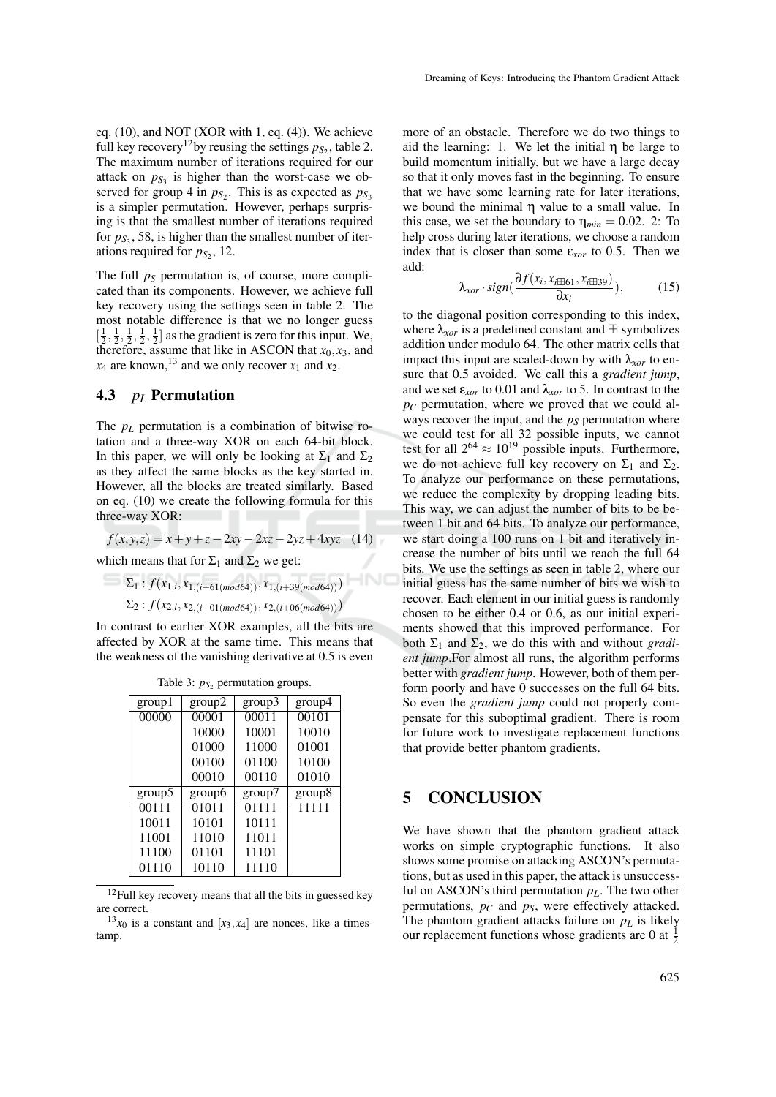eq. (10), and NOT (XOR with 1, eq. (4)). We achieve full key recovery<sup>12</sup> by reusing the settings  $p_{S_2}$ , table 2. The maximum number of iterations required for our attack on  $p_{S_3}$  is higher than the worst-case we observed for group 4 in  $p_{S_2}$ . This is as expected as  $p_{S_3}$ 

is a simpler permutation. However, perhaps surprising is that the smallest number of iterations required for  $p_{S_3}$ , 58, is higher than the smallest number of iterations required for  $p_{S_2}$ , 12.

The full *p<sup>S</sup>* permutation is, of course, more complicated than its components. However, we achieve full key recovery using the settings seen in table 2. The most notable difference is that we no longer guess  $\left[\frac{1}{2}, \frac{1}{2}, \frac{1}{2}, \frac{1}{2}, \frac{1}{2}\right]$  as the gradient is zero for this input. We, therefore, assume that like in ASCON that  $x_0$ ,  $x_3$ , and  $x_4$  are known,<sup>13</sup> and we only recover  $x_1$  and  $x_2$ .

### 4.3 *p<sup>L</sup>* Permutation

The  $p_L$  permutation is a combination of bitwise rotation and a three-way XOR on each 64-bit block. In this paper, we will only be looking at  $\Sigma_1$  and  $\Sigma_2$ as they affect the same blocks as the key started in. However, all the blocks are treated similarly. Based on eq. (10) we create the following formula for this three-way XOR:

*f*(*x*, *y*,*z*) = *x*+*y*+*z*−2*xy*−2*xz*−2*yz*+4*xyz* (14)

which means that for  $\Sigma_1$  and  $\Sigma_2$  we get:

 $\Sigma_1$  :  $f(x_{1,i}, x_{1,(i+61(mod64))}, x_{1,(i+39(mod64))})$  $\Sigma_2$ :  $f(x_{2,i}, x_{2,(i+01(mod64))}, x_{2,(i+06(mod64))})$ 

In contrast to earlier XOR examples, all the bits are affected by XOR at the same time. This means that the weakness of the vanishing derivative at 0.5 is even

Table 3:  $p_{S_2}$  permutation groups.

|           | .      |        |        |  |
|-----------|--------|--------|--------|--|
| group1    | group2 | group3 | group4 |  |
| 00000     | 00001  | 00011  | 00101  |  |
|           | 10000  | 10001  | 10010  |  |
|           | 01000  | 11000  | 01001  |  |
|           | 00100  | 01100  | 10100  |  |
|           | 00010  | 00110  | 01010  |  |
| group $5$ | group6 | group7 | group8 |  |
| 00111     | 01011  | 01111  | 11111  |  |
| 10011     | 10101  | 10111  |        |  |
| 11001     | 11010  | 11011  |        |  |
| 11100     | 01101  | 11101  |        |  |
| 01110     | 10110  | 11110  |        |  |
|           |        |        |        |  |

<sup>12</sup>Full key recovery means that all the bits in guessed key are correct.

 $13x_0$  is a constant and  $[x_3, x_4]$  are nonces, like a timestamp.

more of an obstacle. Therefore we do two things to aid the learning: 1. We let the initial  $\eta$  be large to build momentum initially, but we have a large decay so that it only moves fast in the beginning. To ensure that we have some learning rate for later iterations, we bound the minimal  $\eta$  value to a small value. In this case, we set the boundary to  $\eta_{min} = 0.02$ . 2: To help cross during later iterations, we choose a random index that is closer than some  $\varepsilon_{xor}$  to 0.5. Then we add:

$$
\lambda_{xor} \cdot sign(\frac{\partial f(x_i, x_{i \boxplus 61}, x_{i \boxplus 39})}{\partial x_i}), \qquad (15)
$$

to the diagonal position corresponding to this index, where  $\lambda_{xor}$  is a predefined constant and  $\boxplus$  symbolizes addition under modulo 64. The other matrix cells that impact this input are scaled-down by with  $\lambda_{\text{xor}}$  to ensure that 0.5 avoided. We call this a *gradient jump*, and we set  $\varepsilon_{xor}$  to 0.01 and  $\lambda_{xor}$  to 5. In contrast to the *p<sup>C</sup>* permutation, where we proved that we could always recover the input, and the *p<sup>S</sup>* permutation where we could test for all 32 possible inputs, we cannot test for all  $2^{64} \approx 10^{19}$  possible inputs. Furthermore, we do not achieve full key recovery on  $\Sigma_1$  and  $\Sigma_2$ . To analyze our performance on these permutations, we reduce the complexity by dropping leading bits. This way, we can adjust the number of bits to be between 1 bit and 64 bits. To analyze our performance, we start doing a 100 runs on 1 bit and iteratively increase the number of bits until we reach the full 64 bits. We use the settings as seen in table 2, where our initial guess has the same number of bits we wish to recover. Each element in our initial guess is randomly chosen to be either 0.4 or 0.6, as our initial experiments showed that this improved performance. For both  $\Sigma_1$  and  $\Sigma_2$ , we do this with and without *gradient jump*.For almost all runs, the algorithm performs better with *gradient jump*. However, both of them perform poorly and have 0 successes on the full 64 bits. So even the *gradient jump* could not properly compensate for this suboptimal gradient. There is room for future work to investigate replacement functions that provide better phantom gradients.

# 5 CONCLUSION

We have shown that the phantom gradient attack works on simple cryptographic functions. It also shows some promise on attacking ASCON's permutations, but as used in this paper, the attack is unsuccessful on ASCON's third permutation *pL*. The two other permutations, *p<sup>C</sup>* and *pS*, were effectively attacked. The phantom gradient attacks failure on  $p_L$  is likely our replacement functions whose gradients are 0 at  $\frac{1}{2}$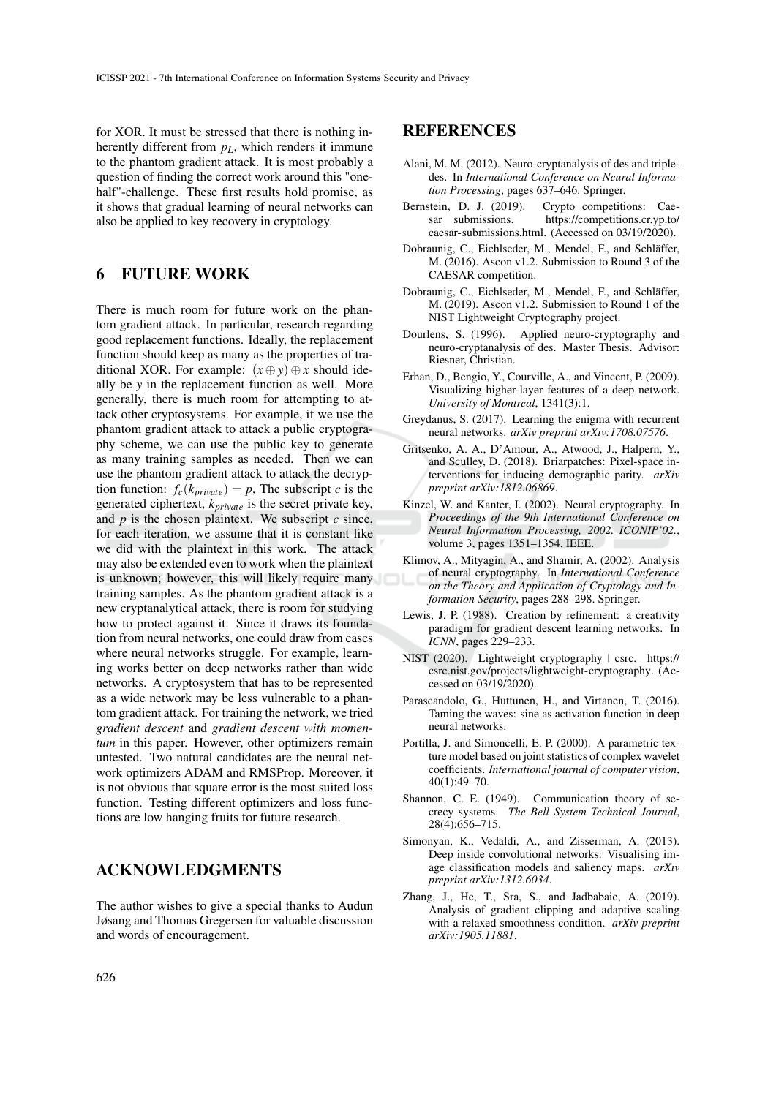for XOR. It must be stressed that there is nothing inherently different from *pL*, which renders it immune to the phantom gradient attack. It is most probably a question of finding the correct work around this "onehalf"-challenge. These first results hold promise, as it shows that gradual learning of neural networks can also be applied to key recovery in cryptology.

### 6 FUTURE WORK

There is much room for future work on the phantom gradient attack. In particular, research regarding good replacement functions. Ideally, the replacement function should keep as many as the properties of traditional XOR. For example:  $(x \oplus y) \oplus x$  should ideally be *y* in the replacement function as well. More generally, there is much room for attempting to attack other cryptosystems. For example, if we use the phantom gradient attack to attack a public cryptography scheme, we can use the public key to generate as many training samples as needed. Then we can use the phantom gradient attack to attack the decryption function:  $f_c(k_{private}) = p$ , The subscript *c* is the generated ciphertext, *kprivate* is the secret private key, and *p* is the chosen plaintext. We subscript *c* since, for each iteration, we assume that it is constant like we did with the plaintext in this work. The attack may also be extended even to work when the plaintext is unknown; however, this will likely require many training samples. As the phantom gradient attack is a new cryptanalytical attack, there is room for studying how to protect against it. Since it draws its foundation from neural networks, one could draw from cases where neural networks struggle. For example, learning works better on deep networks rather than wide networks. A cryptosystem that has to be represented as a wide network may be less vulnerable to a phantom gradient attack. For training the network, we tried *gradient descent* and *gradient descent with momentum* in this paper. However, other optimizers remain untested. Two natural candidates are the neural network optimizers ADAM and RMSProp. Moreover, it is not obvious that square error is the most suited loss function. Testing different optimizers and loss functions are low hanging fruits for future research.

### ACKNOWLEDGMENTS

The author wishes to give a special thanks to Audun Jøsang and Thomas Gregersen for valuable discussion and words of encouragement.

### REFERENCES

- Alani, M. M. (2012). Neuro-cryptanalysis of des and tripledes. In *International Conference on Neural Information Processing*, pages 637–646. Springer.
- Bernstein, D. J. (2019). Crypto competitions: Cae-<br>sar submissions. https://competitions.cr.yp.to/ https://competitions.cr.yp.to/ caesar-submissions.html. (Accessed on 03/19/2020).
- Dobraunig, C., Eichlseder, M., Mendel, F., and Schläffer, M. (2016). Ascon v1.2. Submission to Round 3 of the CAESAR competition.
- Dobraunig, C., Eichlseder, M., Mendel, F., and Schläffer, M. (2019). Ascon v1.2. Submission to Round 1 of the NIST Lightweight Cryptography project.
- Dourlens, S. (1996). Applied neuro-cryptography and neuro-cryptanalysis of des. Master Thesis. Advisor: Riesner, Christian.
- Erhan, D., Bengio, Y., Courville, A., and Vincent, P. (2009). Visualizing higher-layer features of a deep network. *University of Montreal*, 1341(3):1.
- Greydanus, S. (2017). Learning the enigma with recurrent neural networks. *arXiv preprint arXiv:1708.07576*.
- Gritsenko, A. A., D'Amour, A., Atwood, J., Halpern, Y., and Sculley, D. (2018). Briarpatches: Pixel-space interventions for inducing demographic parity. *arXiv preprint arXiv:1812.06869*.
- Kinzel, W. and Kanter, I. (2002). Neural cryptography. In *Proceedings of the 9th International Conference on Neural Information Processing, 2002. ICONIP'02.*, volume 3, pages 1351–1354. IEEE.
- Klimov, A., Mityagin, A., and Shamir, A. (2002). Analysis of neural cryptography. In *International Conference on the Theory and Application of Cryptology and Information Security*, pages 288–298. Springer.
- Lewis, J. P. (1988). Creation by refinement: a creativity paradigm for gradient descent learning networks. In *ICNN*, pages 229–233.
- NIST (2020). Lightweight cryptography | csrc. https:// csrc.nist.gov/projects/lightweight-cryptography. (Accessed on 03/19/2020).
- Parascandolo, G., Huttunen, H., and Virtanen, T. (2016). Taming the waves: sine as activation function in deep neural networks.
- Portilla, J. and Simoncelli, E. P. (2000). A parametric texture model based on joint statistics of complex wavelet coefficients. *International journal of computer vision*, 40(1):49–70.
- Shannon, C. E. (1949). Communication theory of secrecy systems. *The Bell System Technical Journal*, 28(4):656–715.
- Simonyan, K., Vedaldi, A., and Zisserman, A. (2013). Deep inside convolutional networks: Visualising image classification models and saliency maps. *arXiv preprint arXiv:1312.6034*.
- Zhang, J., He, T., Sra, S., and Jadbabaie, A. (2019). Analysis of gradient clipping and adaptive scaling with a relaxed smoothness condition. *arXiv preprint arXiv:1905.11881*.